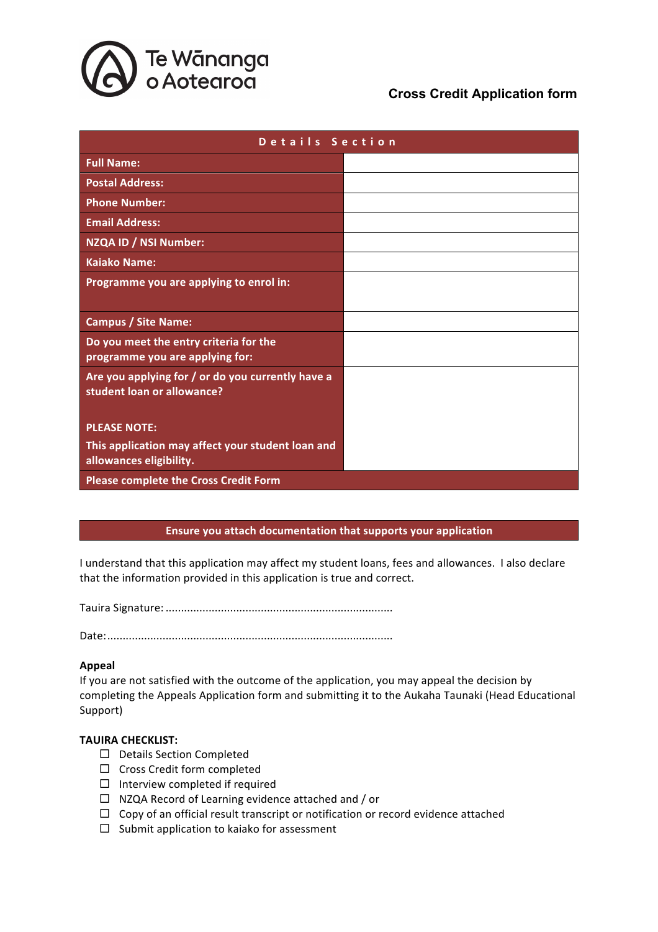

## **Cross Credit Application form**

| Details Section                                                                 |  |  |  |  |
|---------------------------------------------------------------------------------|--|--|--|--|
| <b>Full Name:</b>                                                               |  |  |  |  |
| <b>Postal Address:</b>                                                          |  |  |  |  |
| <b>Phone Number:</b>                                                            |  |  |  |  |
| <b>Email Address:</b>                                                           |  |  |  |  |
| NZQA ID / NSI Number:                                                           |  |  |  |  |
| <b>Kaiako Name:</b>                                                             |  |  |  |  |
| Programme you are applying to enrol in:                                         |  |  |  |  |
| <b>Campus / Site Name:</b>                                                      |  |  |  |  |
| Do you meet the entry criteria for the<br>programme you are applying for:       |  |  |  |  |
| Are you applying for / or do you currently have a<br>student loan or allowance? |  |  |  |  |
| <b>PLEASE NOTE:</b>                                                             |  |  |  |  |
| This application may affect your student loan and<br>allowances eligibility.    |  |  |  |  |
| <b>Please complete the Cross Credit Form</b>                                    |  |  |  |  |

## **Ensure you attach documentation that supports your application**

I understand that this application may affect my student loans, fees and allowances. I also declare that the information provided in this application is true and correct.

Tauira Signature: ..........................................................................

Date:.............................................................................................

## **Appeal**

If you are not satisfied with the outcome of the application, you may appeal the decision by completing the Appeals Application form and submitting it to the Aukaha Taunaki (Head Educational Support)

## **TAUIRA CHECKLIST:**

- $\square$  Details Section Completed
- $\square$  Cross Credit form completed
- $\square$  Interview completed if required
- $\Box$  NZQA Record of Learning evidence attached and / or
- $\Box$  Copy of an official result transcript or notification or record evidence attached
- $\square$  Submit application to kaiako for assessment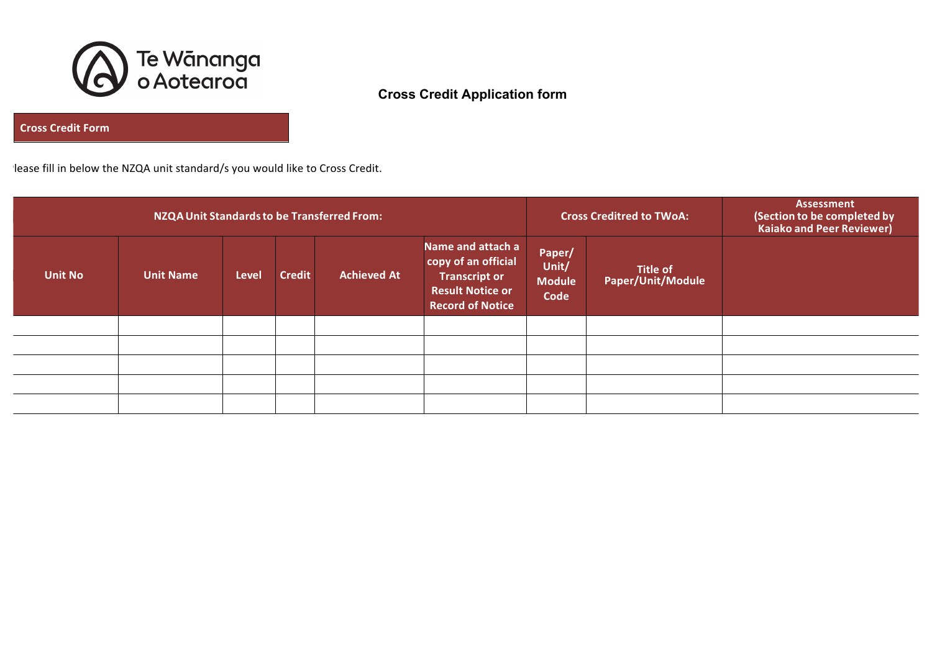

# **Cross Credit Application form**

**Cross Credit Form**

lease fill in below the NZQA unit standard/s you would like to Cross Credit.

| NZQA Unit Standards to be Transferred From: |                  |              |               |                    |                                                                                                                        | <b>Cross Creditred to TWoA:</b>          | <b>Assessment</b><br>(Section to be completed by<br>Kaiako and Peer Reviewer) |  |
|---------------------------------------------|------------------|--------------|---------------|--------------------|------------------------------------------------------------------------------------------------------------------------|------------------------------------------|-------------------------------------------------------------------------------|--|
| <b>Unit No</b>                              | <b>Unit Name</b> | <b>Level</b> | <b>Credit</b> | <b>Achieved At</b> | Name and attach a<br>copy of an official<br><b>Transcript or</b><br><b>Result Notice or</b><br><b>Record of Notice</b> | Paper/<br>Unit/<br><b>Module</b><br>Code | <b>Title of</b><br>Paper/Unit/Module                                          |  |
|                                             |                  |              |               |                    |                                                                                                                        |                                          |                                                                               |  |
|                                             |                  |              |               |                    |                                                                                                                        |                                          |                                                                               |  |
|                                             |                  |              |               |                    |                                                                                                                        |                                          |                                                                               |  |
|                                             |                  |              |               |                    |                                                                                                                        |                                          |                                                                               |  |
|                                             |                  |              |               |                    |                                                                                                                        |                                          |                                                                               |  |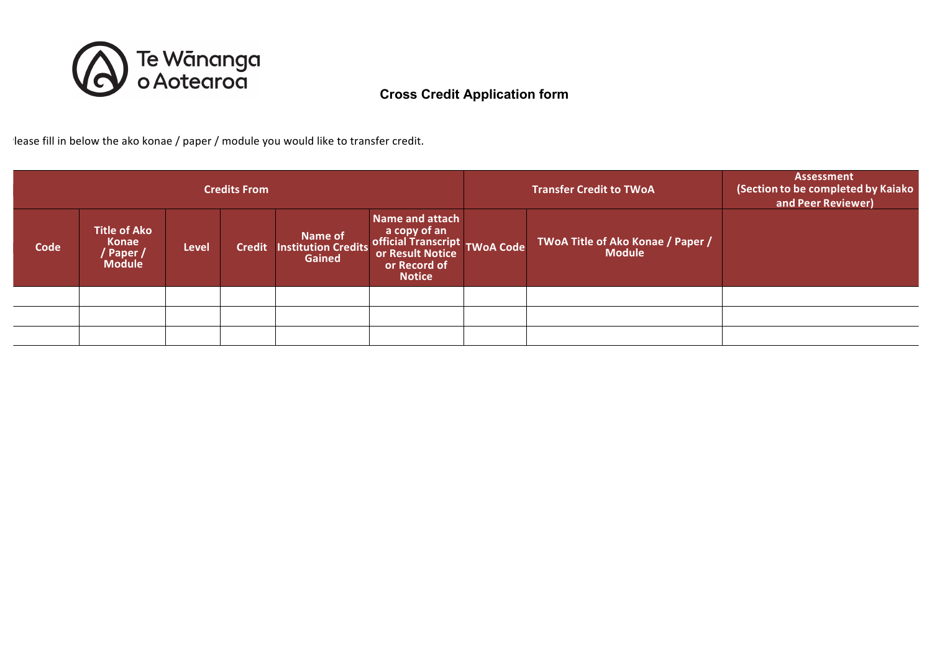

lease fill in below the ako konae / paper / module you would like to transfer credit.

| <b>Credits From</b> |                                                            |              |               |                                                         |                                                                                                                                 | <b>Transfer Credit to TWoA</b>                     | <b>Assessment</b><br>(Section to be completed by Kaiako<br>and Peer Reviewer) |
|---------------------|------------------------------------------------------------|--------------|---------------|---------------------------------------------------------|---------------------------------------------------------------------------------------------------------------------------------|----------------------------------------------------|-------------------------------------------------------------------------------|
| Code                | Title of Ako<br><b>Konae</b><br>' Paper /<br><b>Module</b> | <b>Level</b> | <b>Credit</b> | <b>Name of<br/>Institution Credits</b><br><b>Gained</b> | Name and attach<br>a copy of an<br>official Transcript<br>or Result Notice<br>or Result Notice<br>or Record of<br><b>Notice</b> | TWoA Title of Ako Konae / Paper /<br><b>Module</b> |                                                                               |
|                     |                                                            |              |               |                                                         |                                                                                                                                 |                                                    |                                                                               |
|                     |                                                            |              |               |                                                         |                                                                                                                                 |                                                    |                                                                               |
|                     |                                                            |              |               |                                                         |                                                                                                                                 |                                                    |                                                                               |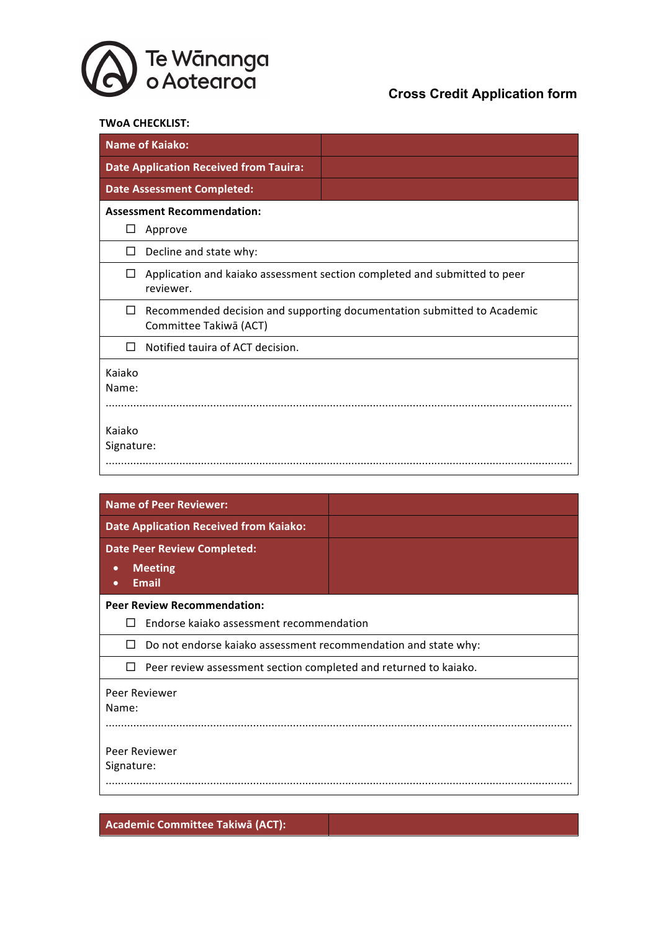

### **TWoA CHECKLIST:**

| <b>Name of Kaiako:</b> |                                               |                                                                           |
|------------------------|-----------------------------------------------|---------------------------------------------------------------------------|
|                        | <b>Date Application Received from Tauira:</b> |                                                                           |
|                        | <b>Date Assessment Completed:</b>             |                                                                           |
|                        | <b>Assessment Recommendation:</b>             |                                                                           |
| Approve<br>⊔           |                                               |                                                                           |
| □                      | Decline and state why:                        |                                                                           |
| $\Box$<br>reviewer.    |                                               | Application and kaiako assessment section completed and submitted to peer |
| □                      | Committee Takiwā (ACT)                        | Recommended decision and supporting documentation submitted to Academic   |
| П                      | Notified tauira of ACT decision.              |                                                                           |
| Kajako<br>Name:        |                                               |                                                                           |
| Kajako<br>Signature:   |                                               |                                                                           |

| <b>Name of Peer Reviewer:</b>                                              |  |  |  |  |
|----------------------------------------------------------------------------|--|--|--|--|
| <b>Date Application Received from Kaiako:</b>                              |  |  |  |  |
| <b>Date Peer Review Completed:</b>                                         |  |  |  |  |
| <b>Meeting</b><br>$\bullet$                                                |  |  |  |  |
| <b>Email</b><br>$\bullet$                                                  |  |  |  |  |
| <b>Peer Review Recommendation:</b>                                         |  |  |  |  |
| Endorse kajako assessment recommendation                                   |  |  |  |  |
| Do not endorse kaiako assessment recommendation and state why:<br>П        |  |  |  |  |
| Peer review assessment section completed and returned to kaiako.<br>$\Box$ |  |  |  |  |
| Peer Reviewer                                                              |  |  |  |  |
| Name:                                                                      |  |  |  |  |
|                                                                            |  |  |  |  |
|                                                                            |  |  |  |  |
| Peer Reviewer                                                              |  |  |  |  |
| Signature:                                                                 |  |  |  |  |
|                                                                            |  |  |  |  |

**Academic Committee Takiwā (ACT):**